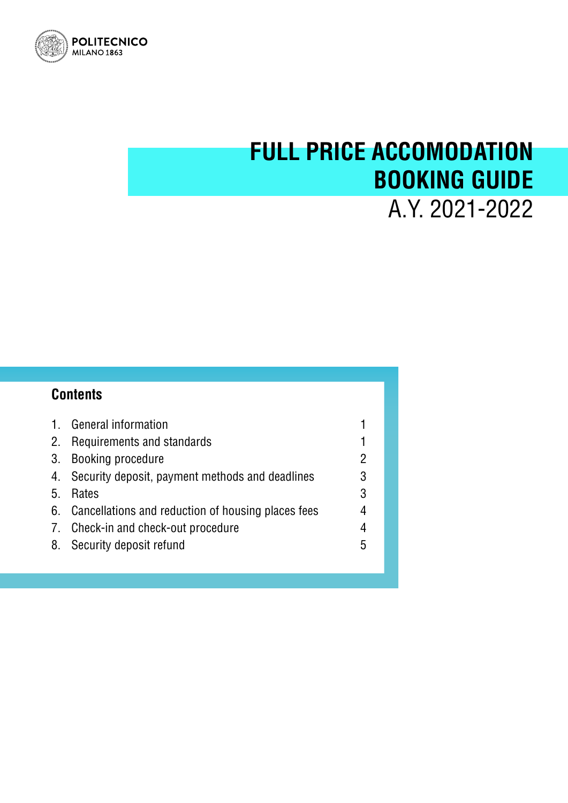

# **FULL PRICE ACCOMODATION BOOKING GUIDE**  A.Y. 2021-2022

## **Contents**

| General information<br>$\mathbf{1}$ .<br>Requirements and standards<br>2.<br>Booking procedure<br>3.<br>Security deposit, payment methods and deadlines<br>4.<br>5.<br>Rates<br>Cancellations and reduction of housing places fees<br>6.<br>7. Check-in and check-out procedure<br>8.<br>Security deposit refund | 2<br>3<br>3<br>4<br>5 |
|------------------------------------------------------------------------------------------------------------------------------------------------------------------------------------------------------------------------------------------------------------------------------------------------------------------|-----------------------|
|------------------------------------------------------------------------------------------------------------------------------------------------------------------------------------------------------------------------------------------------------------------------------------------------------------------|-----------------------|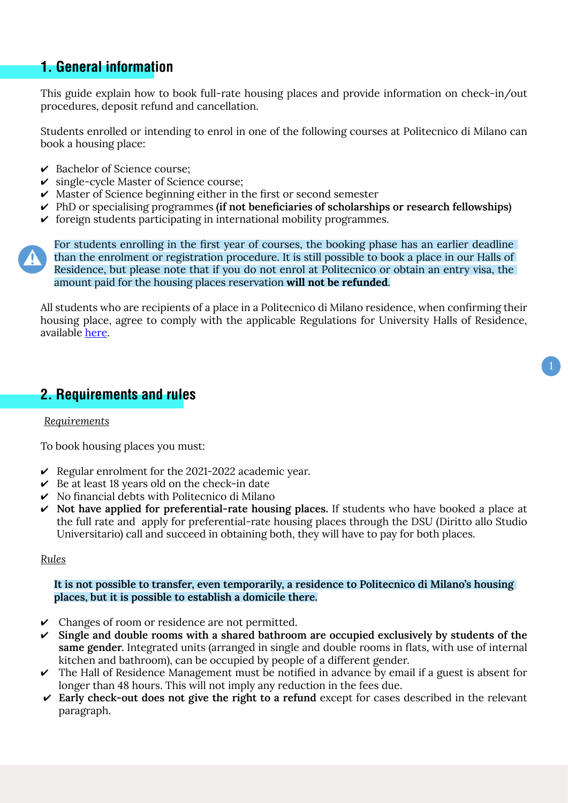## **1. General information**

This guide explain how to book full-rate housing places and provide information on check-in/out procedures, deposit refund and cancellation.

Students enrolled or intending to enrol in one of the following courses at Politecnico di Milano can book a housing place:

- $\vee$  Bachelor of Science course;
- $\checkmark$  single-cycle Master of Science course;
- $\vee$  Master of Science beginning either in the first or second semester
- PhD or specialising programmes **(if not beneficiaries of scholarships or research fellowships)**
- $\triangledown$  foreign students participating in international mobility programmes.

For students enrolling in the first year of courses, the booking phase has an earlier deadline than the enrolment or registration procedure. It is still possible to book a place in our Halls of Residence, but please note that if you do not enrol at Politecnico or obtain an entry visa, the amount paid for the housing places reservation **will not be refunded**.

All students who are recipients of a place in a Politecnico di Milano residence, when confirming their housing place, agree to comply with the applicable Regulations for University Halls of Residence, available [here](https://www.residenze.polimi.it/wp-content/uploads/2021/08/Regolamento_Residenze_Universitarie_del_Politecnico_di_Milano_eng-1.pdf).

1

## **2. Requirements and rules**

#### *Requirements*

To book housing places you must:

- $\triangleright$  Regular enrolment for the 2021-2022 academic year.
- $\triangleright$  Be at least 18 years old on the check-in date
- $\triangleright$  No financial debts with Politecnico di Milano
- **Not have applied for preferential-rate housing places.** If students who have booked a place at the full rate and apply for preferential-rate housing places through the DSU (Diritto allo Studio Universitario) call and succeed in obtaining both, they will have to pay for both places.

#### *Rules*

#### **It is not possible to transfer, even temporarily, a residence to Politecnico di Milano's housing places, but it is possible to establish a domicile there.**

- $\triangleright$  Changes of room or residence are not permitted.
- **Single and double rooms with a shared bathroom are occupied exclusively by students of the same gender.** Integrated units (arranged in single and double rooms in flats, with use of internal kitchen and bathroom), can be occupied by people of a different gender.
- $\triangleright$  The Hall of Residence Management must be notified in advance by email if a guest is absent for longer than 48 hours. This will not imply any reduction in the fees due.
- **Early check-out does not give the right to a refund** except for cases described in the relevant paragraph.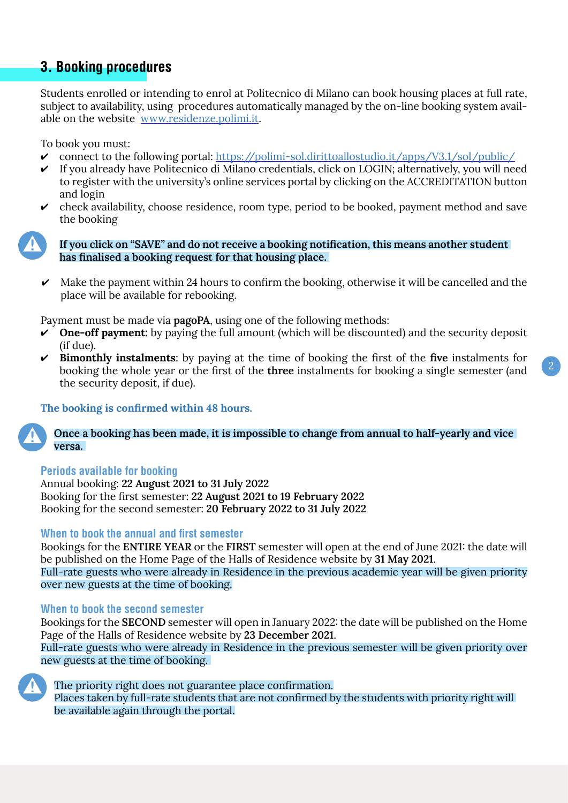## **3. Booking procedures**

Students enrolled or intending to enrol at Politecnico di Milano can book housing places at full rate, subject to availability, using procedures automatically managed by the on-line booking system available on the website [www.residenze.polimi.it](http://www.residenze.polimi.it).

To book you must:

- connect to the following portal: https://polimi-sol.dirittoallostudio.it/apps/V3.1/sol/public/
- $\checkmark$  If you already have Politecnico di Milano credentials, click on LOGIN; alternatively, you will need to register with the university's online services portal by clicking on the ACCREDITATION button and login
- $\triangleright$  check availability, choose residence, room type, period to be booked, payment method and save the booking

**If you click on "SAVE" and do not receive a booking notification, this means another student has finalised a booking request for that housing place.** 

 $\triangleright$  Make the payment within 24 hours to confirm the booking, otherwise it will be cancelled and the place will be available for rebooking.

Payment must be made via **pagoPA**, using one of the following methods:

- **One-off payment:** by paying the full amount (which will be discounted) and the security deposit (if due).
- **Bimonthly instalments**: by paying at the time of booking the first of the **five** instalments for booking the whole year or the first of the **three** instalments for booking a single semester (and the security deposit, if due).

2

#### **The booking is confirmed within 48 hours.**

**Once a booking has been made, it is impossible to change from annual to half-yearly and vice versa.** 

#### **Periods available for booking**

Annual booking: **22 August 2021 to 31 July 2022** Booking for the first semester: **22 August 2021 to 19 February 2022** Booking for the second semester: **20 February 2022 to 31 July 2022**

#### **When to book the annual and first semester**

Bookings for the **ENTIRE YEAR** or the **FIRST** semester will open at the end of June 2021: the date will be published on the Home Page of the Halls of Residence website by **31 May 2021**. Full-rate guests who were already in Residence in the previous academic year will be given priority over new guests at the time of booking.

#### **When to book the second semester**

Bookings for the **SECOND** semester will open in January 2022: the date will be published on the Home Page of the Halls of Residence website by **23 December 2021**.

Full-rate guests who were already in Residence in the previous semester will be given priority over new guests at the time of booking.



The priority right does not guarantee place confirmation.

Places taken by full-rate students that are not confirmed by the students with priority right will be available again through the portal.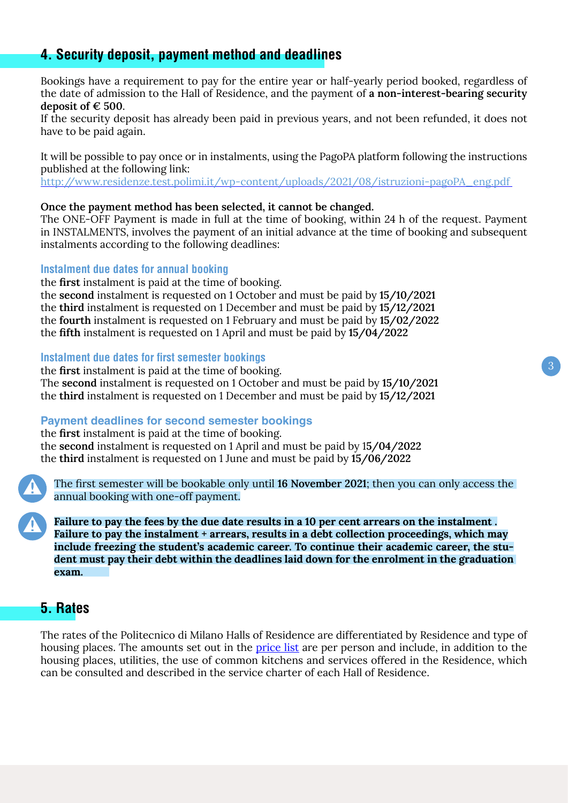# <span id="page-3-0"></span>**4. Security deposit, payment method and deadlines**

Bookings have a requirement to pay for the entire year or half-yearly period booked, regardless of the date of admission to the Hall of Residence, and the payment of **a non-interest-bearing security deposit of € 500**.

If the security deposit has already been paid in previous years, and not been refunded, it does not have to be paid again.

It will be possible to pay once or in instalments, using the PagoPA platform following the instructions published at the following link:

http://www.residenze.test.polimi.it/wp-content/uploads/2021/08/istruzioni-pagoPA\_eng.pdf

#### **Once the payment method has been selected, it cannot be changed.**

The ONE-OFF Payment is made in full at the time of booking, within 24 h of the request. Payment in INSTALMENTS, involves the payment of an initial advance at the time of booking and subsequent instalments according to the following deadlines:

## **Instalment due dates for annual booking**

the **first** instalment is paid at the time of booking. the **second** instalment is requested on 1 October and must be paid by **15/10/2021** the **third** instalment is requested on 1 December and must be paid by **15/12/2021** the **fourth** instalment is requested on 1 February and must be paid by **15/02/2022** the **fifth** instalment is requested on 1 April and must be paid by **15/04/2022**

#### **Instalment due dates for first semester bookings**

the **first** instalment is paid at the time of booking. The **second** instalment is requested on 1 October and must be paid by **15/10/2021** the **third** instalment is requested on 1 December and must be paid by **15/12/2021**

#### **Payment deadlines for second semester bookings**

the **first** instalment is paid at the time of booking. the **second** instalment is requested on 1 April and must be paid by 1**5/04/2022** the **third** instalment is requested on 1 June and must be paid by **15/06/2022**

The first semester will be bookable only until **16 November 2021**; then you can only access the annual booking with one-off payment.

**Failure to pay the fees by the due date results in a 10 per cent arrears on the instalment . Failure to pay the instalment + arrears, results in a debt collection proceedings, which may include freezing the student's academic career. To continue their academic career, the student must pay their debt within the deadlines laid down for the enrolment in the graduation exam.**

## **5. Rates**

The rates of the Politecnico di Milano Halls of Residence are differentiated by Residence and type of housing places. The amounts set out in the [price list](https://www.residenze.polimi.it/wp-content/uploads/2021/08/tariffari_eng.pdf) are per person and include, in addition to the housing places, utilities, the use of common kitchens and services offered in the Residence, which can be consulted and described in the service charter of each Hall of Residence.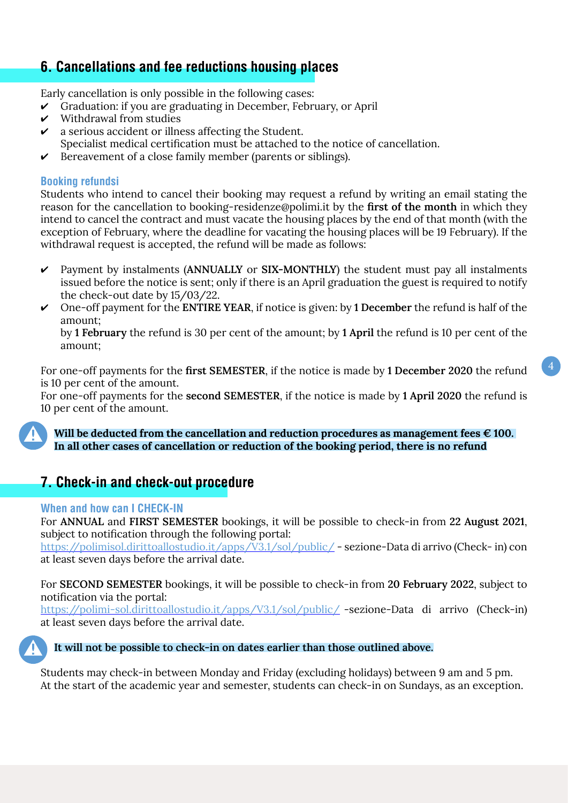# <span id="page-4-0"></span>**6. Cancellations and fee reductions housing places**

Early cancellation is only possible in the following cases:

- Graduation: if you are graduating in December, February, or April
- $\boldsymbol{\nu}$  Withdrawal from studies
- $\boldsymbol{\nu}$  a serious accident or illness affecting the Student.
- Specialist medical certification must be attached to the notice of cancellation.
- $\triangleright$  Bereavement of a close family member (parents or siblings).

## **Booking refundsi**

Students who intend to cancel their booking may request a refund by writing an email stating the reason for the cancellation to booking-residenze@polimi.it by the **first of the month** in which they intend to cancel the contract and must vacate the housing places by the end of that month (with the exception of February, where the deadline for vacating the housing places will be 19 February). If the withdrawal request is accepted, the refund will be made as follows:

- Payment by instalments (**ANNUALLY** or **SIX-MONTHLY**) the student must pay all instalments issued before the notice is sent; only if there is an April graduation the guest is required to notify the check-out date by 15/03/22.
- One-off payment for the **ENTIRE YEAR**, if notice is given: by **1 December** the refund is half of the amount;

by **1 February** the refund is 30 per cent of the amount; by **1 April** the refund is 10 per cent of the amount;

For one-off payments for the **first SEMESTER**, if the notice is made by **1 December 2020** the refund is 10 per cent of the amount.

For one-off payments for the **second SEMESTER**, if the notice is made by **1 April 2020** the refund is 10 per cent of the amount.

**Will be deducted from the cancellation and reduction procedures as management fees € 100. In all other cases of cancellation or reduction of the booking period, there is no refund**

## **7. Check-in and check-out procedure**

#### **When and how can I CHECK-IN**

For **ANNUAL** and **FIRST SEMESTER** bookings, it will be possible to check-in from **22 August 2021**, subject to notification through the following portal:

<https://polimisol.dirittoallostudio.it/apps/V3.1/sol/public/>- sezione-Data di arrivo (Check- in) con at least seven days before the arrival date.

For **SECOND SEMESTER** bookings, it will be possible to check-in from **20 February 2022**, subject to notification via the portal:

<https://polimi-sol.dirittoallostudio.it/apps/V3.1/sol/public/> -sezione-Data di arrivo (Check-in) at least seven days before the arrival date.



#### **It will not be possible to check-in on dates earlier than those outlined above.**

Students may check-in between Monday and Friday (excluding holidays) between 9 am and 5 pm. At the start of the academic year and semester, students can check-in on Sundays, as an exception.